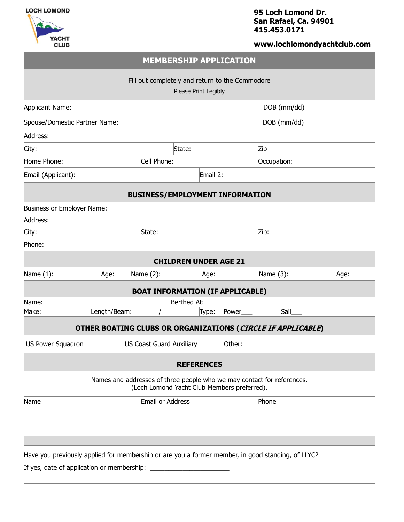



## **95 Loch Lomond Dr. San Rafael, Ca. 94901 415.453.0171**

# **www.lochlomondyachtclub.com**

|                                                                                                                       |              | <b>MEMBERSHIP APPLICATION</b> |          |       |             |      |  |
|-----------------------------------------------------------------------------------------------------------------------|--------------|-------------------------------|----------|-------|-------------|------|--|
| Fill out completely and return to the Commodore<br>Please Print Legibly                                               |              |                               |          |       |             |      |  |
| <b>Applicant Name:</b>                                                                                                |              |                               |          |       | DOB (mm/dd) |      |  |
| Spouse/Domestic Partner Name:                                                                                         |              |                               |          |       | DOB (mm/dd) |      |  |
| Address:                                                                                                              |              |                               |          |       |             |      |  |
| City:                                                                                                                 |              | State:                        |          |       | Zip         |      |  |
| Home Phone:                                                                                                           |              | Cell Phone:                   |          |       | Occupation: |      |  |
| Email (Applicant):                                                                                                    |              |                               | Email 2: |       |             |      |  |
| <b>BUSINESS/EMPLOYMENT INFORMATION</b>                                                                                |              |                               |          |       |             |      |  |
| <b>Business or Employer Name:</b>                                                                                     |              |                               |          |       |             |      |  |
| Address:                                                                                                              |              |                               |          |       |             |      |  |
| City:                                                                                                                 |              | State:                        |          |       | Zip:        |      |  |
| Phone:                                                                                                                |              |                               |          |       |             |      |  |
| <b>CHILDREN UNDER AGE 21</b>                                                                                          |              |                               |          |       |             |      |  |
| Name (1):                                                                                                             | Age:         | Name $(2)$ :                  | Age:     |       | Name (3):   | Age: |  |
| <b>BOAT INFORMATION (IF APPLICABLE)</b>                                                                               |              |                               |          |       |             |      |  |
| Name:                                                                                                                 |              | Berthed At:                   |          |       |             |      |  |
| Make:                                                                                                                 | Length/Beam: |                               | Type:    | Power | Sail        |      |  |
| OTHER BOATING CLUBS OR ORGANIZATIONS (CIRCLE IF APPLICABLE)                                                           |              |                               |          |       |             |      |  |
| US Power Squadron<br><b>US Coast Guard Auxiliary</b><br>Other:                                                        |              |                               |          |       |             |      |  |
| <b>REFERENCES</b>                                                                                                     |              |                               |          |       |             |      |  |
| Names and addresses of three people who we may contact for references.<br>(Loch Lomond Yacht Club Members preferred). |              |                               |          |       |             |      |  |
| Name                                                                                                                  |              | Email or Address              |          |       | Phone       |      |  |
|                                                                                                                       |              |                               |          |       |             |      |  |
|                                                                                                                       |              |                               |          |       |             |      |  |
|                                                                                                                       |              |                               |          |       |             |      |  |
|                                                                                                                       |              |                               |          |       |             |      |  |
|                                                                                                                       |              |                               |          |       |             |      |  |
| Have you previously applied for membership or are you a former member, in good standing, of LLYC?                     |              |                               |          |       |             |      |  |